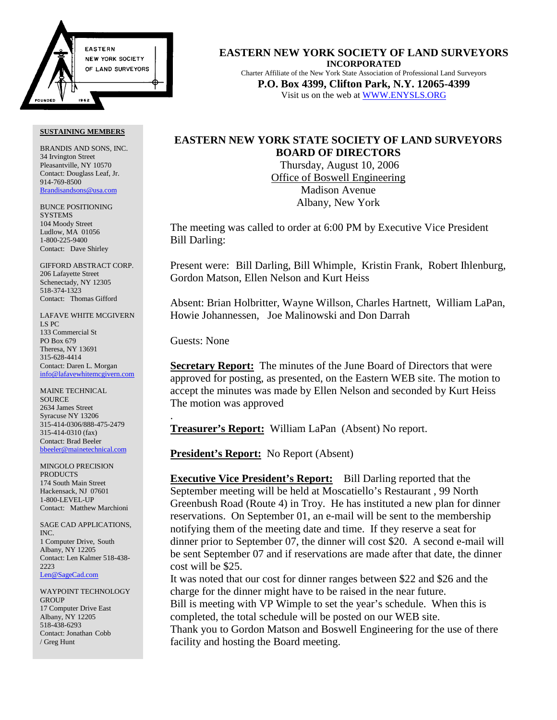

#### **SUSTAINING MEMBERS**

BRANDIS AND SONS, INC. 34 Irvington Street Pleasantville, NY 10570 Contact: Douglass Leaf, Jr. 914-769-8500 Brandisandsons@usa.com

BUNCE POSITIONING **SYSTEMS** 104 Moody Street Ludlow, MA 01056 1-800-225-9400 Contact: Dave Shirley

GIFFORD ABSTRACT CORP. 206 Lafayette Street Schenectady, NY 12305 518-374-1323 Contact: Thomas Gifford

LAFAVE WHITE MCGIVERN LS PC 133 Commercial St PO Box 679 Theresa, NY 13691 315-628-4414 Contact: Daren L. Morgan info@lafavewhitemcgivern.com

MAINE TECHNICAL **SOURCE** 2634 James Street Syracuse NY 13206 315-414-0306/888-475-2479 315-414-0310 (fax) Contact: Brad Beeler bbeeler@mainetechnical.com

MINGOLO PRECISION PRODUCTS 174 South Main Street Hackensack, NJ 07601 1-800-LEVEL-UP Contact: Matthew Marchioni

SAGE CAD APPLICATIONS, INC. 1 Computer Drive, South Albany, NY 12205 Contact: Len Kalmer 518-438- 2223 Len@SageCad.com

WAYPOINT TECHNOLOGY **GROUP** 17 Computer Drive East Albany, NY 12205 518-438-6293 Contact: Jonathan Cobb / Greg Hunt

**EASTERN NEW YORK SOCIETY OF LAND SURVEYORS INCORPORATED** Charter Affiliate of the New York State Association of Professional Land Surveyors **P.O. Box 4399, Clifton Park, N.Y. 12065-4399** Visit us on the web at WWW.ENYSLS.ORG

# **EASTERN NEW YORK STATE SOCIETY OF LAND SURVEYORS BOARD OF DIRECTORS**

 Thursday, August 10, 2006 Office of Boswell Engineering Madison Avenue Albany, New York

The meeting was called to order at 6:00 PM by Executive Vice President Bill Darling:

Present were: Bill Darling, Bill Whimple, Kristin Frank, Robert Ihlenburg, Gordon Matson, Ellen Nelson and Kurt Heiss

Absent: Brian Holbritter, Wayne Willson, Charles Hartnett, William LaPan, Howie Johannessen, Joe Malinowski and Don Darrah

Guests: None

.

**Secretary Report:** The minutes of the June Board of Directors that were approved for posting, as presented, on the Eastern WEB site. The motion to accept the minutes was made by Ellen Nelson and seconded by Kurt Heiss The motion was approved

**Treasurer's Report:** William LaPan (Absent) No report.

**President's Report:** No Report (Absent)

**Executive Vice President's Report:** Bill Darling reported that the September meeting will be held at Moscatiello's Restaurant , 99 North Greenbush Road (Route 4) in Troy. He has instituted a new plan for dinner reservations. On September 01, an e-mail will be sent to the membership notifying them of the meeting date and time. If they reserve a seat for dinner prior to September 07, the dinner will cost \$20. A second e-mail will be sent September 07 and if reservations are made after that date, the dinner cost will be \$25.

It was noted that our cost for dinner ranges between \$22 and \$26 and the charge for the dinner might have to be raised in the near future. Bill is meeting with VP Wimple to set the year's schedule. When this is completed, the total schedule will be posted on our WEB site. Thank you to Gordon Matson and Boswell Engineering for the use of there facility and hosting the Board meeting.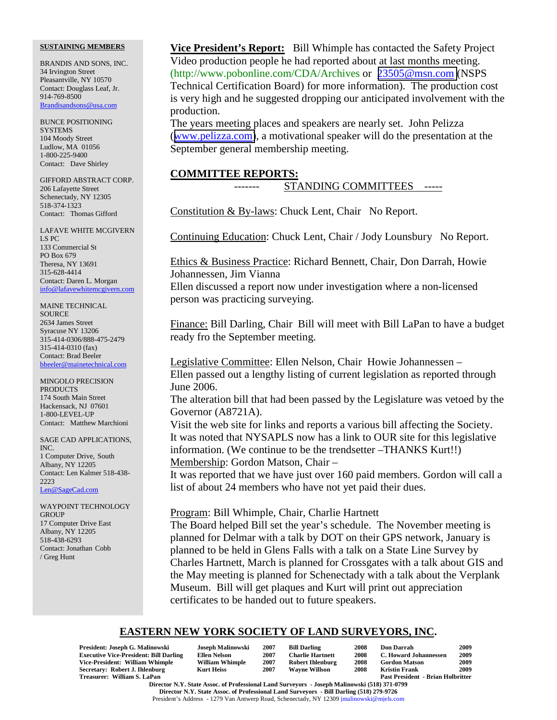#### **SUSTAINING MEMBERS**

BRANDIS AND SONS, INC. 34 Irvington Street Pleasantville, NY 10570 Contact: Douglass Leaf, Jr. 914-769-8500 Brandisandsons@usa.com

BUNCE POSITIONING **SYSTEMS** 104 Moody Street Ludlow, MA 01056 1-800-225-9400 Contact: Dave Shirley

GIFFORD ABSTRACT CORP. 206 Lafayette Street Schenectady, NY 12305 518-374-1323 Contact: Thomas Gifford

LAFAVE WHITE MCGIVERN LS PC 133 Commercial St PO Box 679 Theresa, NY 13691 315-628-4414 Contact: Daren L. Morgan info@lafavewhitemcgivern.com

MAINE TECHNICAL SOURCE 2634 James Street Syracuse NY 13206 315-414-0306/888-475-2479 315-414-0310 (fax) Contact: Brad Beeler bbeeler@mainetechnical.com

MINGOLO PRECISION PRODUCTS 174 South Main Street Hackensack, NJ 07601 1-800-LEVEL-UP Contact: Matthew Marchioni

SAGE CAD APPLICATIONS, INC. 1 Computer Drive, South Albany, NY 12205 Contact: Len Kalmer 518-438- 2223 Len@SageCad.com

WAYPOINT TECHNOLOGY **GROUP** 17 Computer Drive East Albany, NY 12205 518-438-6293 Contact: Jonathan Cobb / Greg Hunt

**Vice President's Report:** Bill Whimple has contacted the Safety Project Video production people he had reported about at last months meeting. (http://www.pobonline.com/CDA/Archives or [23505@msn.com](mailto:23505@msn.com) (NSPS Technical Certification Board) for more information). The production cost is very high and he suggested dropping our anticipated involvement with the production.

The years meeting places and speakers are nearly set. John Pelizza ([www.pelizza.com\)](http://www.pelizza.com/), a motivational speaker will do the presentation at the September general membership meeting.

### **COMMITTEE REPORTS:**

# STANDING COMMITTEES -----

Constitution & By-laws: Chuck Lent, Chair No Report.

Continuing Education: Chuck Lent, Chair / Jody Lounsbury No Report.

Ethics & Business Practice: Richard Bennett, Chair, Don Darrah, Howie Johannessen, Jim Vianna

Ellen discussed a report now under investigation where a non-licensed person was practicing surveying.

Finance: Bill Darling, Chair Bill will meet with Bill LaPan to have a budget ready fro the September meeting.

Legislative Committee: Ellen Nelson, Chair Howie Johannessen – Ellen passed out a lengthy listing of current legislation as reported through June 2006.

The alteration bill that had been passed by the Legislature was vetoed by the Governor (A8721A).

Visit the web site for links and reports a various bill affecting the Society. It was noted that NYSAPLS now has a link to OUR site for this legislative information. (We continue to be the trendsetter –THANKS Kurt!!) Membership: Gordon Matson, Chair –

It was reported that we have just over 160 paid members. Gordon will call a list of about 24 members who have not yet paid their dues.

# Program: Bill Whimple, Chair, Charlie Hartnett

The Board helped Bill set the year's schedule. The November meeting is planned for Delmar with a talk by DOT on their GPS network, January is planned to be held in Glens Falls with a talk on a State Line Survey by Charles Hartnett, March is planned for Crossgates with a talk about GIS and the May meeting is planned for Schenectady with a talk about the Verplank Museum. Bill will get plaques and Kurt will print out appreciation certificates to be handed out to future speakers.

# **EASTERN NEW YORK SOCIETY OF LAND SURVEYORS, INC.**

| President: Joseph G. Malinowski                                                                                                                                         | Joseph Malinowski      | 2007 | <b>Bill Darling</b>     | 2008 | <b>Don Darrah</b>                        | 2009 |  |  |  |
|-------------------------------------------------------------------------------------------------------------------------------------------------------------------------|------------------------|------|-------------------------|------|------------------------------------------|------|--|--|--|
| <b>Executive Vice-President: Bill Darling</b>                                                                                                                           | <b>Ellen Nelson</b>    | 2007 | <b>Charlie Hartnett</b> | 2008 | C. Howard Johannessen                    | 2009 |  |  |  |
| Vice-President: William Whimple                                                                                                                                         | <b>William Whimple</b> | 2007 | <b>Robert Ihlenburg</b> | 2008 | <b>Gordon Matson</b>                     | 2009 |  |  |  |
| Secretary: Robert J. Ihlenburg                                                                                                                                          | Kurt Heiss             | 2007 | <b>Wavne Willson</b>    | 2008 | Kristin Frank                            | 2009 |  |  |  |
| Treasurer: William S. LaPan                                                                                                                                             |                        |      |                         |      | <b>Past President - Brian Holbritter</b> |      |  |  |  |
| $\mathbf{D}^{*}$ , $\mathbf{M}^{*}$ $\mathbf{C}^{*}$ , and $\mathbf{C}^{*}$ , and $\mathbf{C}^{*}$ , and $\mathbf{C}^{*}$ , and $\mathbf{C}^{*}$ , and $\mathbf{C}^{*}$ |                        |      |                         |      |                                          |      |  |  |  |

**Director N.Y. State Assoc. of Professional Land Surveyors - Joseph Malinowski (518) 371-0799 Director N.Y. State Assoc. of Professional Land Surveyors - Bill Darling (518) 279-9726** President's Address - 1279 Van Antwerp Road, Schenectady, NY 12309 jmalinowski@mjels.com